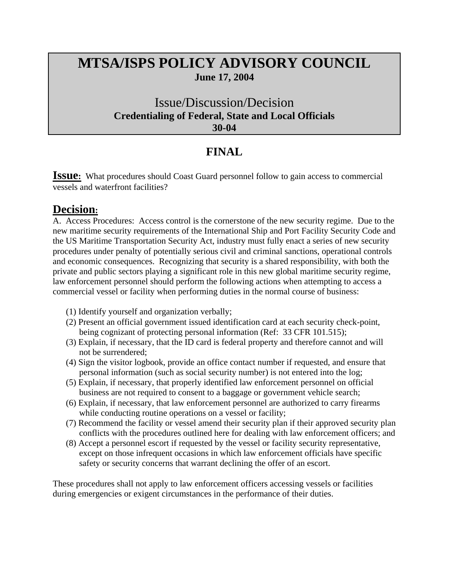## **MTSA/ISPS POLICY ADVISORY COUNCIL June 17, 2004**

## Issue/Discussion/Decision **Credentialing of Federal, State and Local Officials 30-04**

## **FINAL**

**ISSUE:** What procedures should Coast Guard personnel follow to gain access to commercial vessels and waterfront facilities?

## **Decision:**

A. Access Procedures: Access control is the cornerstone of the new security regime. Due to the new maritime security requirements of the International Ship and Port Facility Security Code and the US Maritime Transportation Security Act, industry must fully enact a series of new security procedures under penalty of potentially serious civil and criminal sanctions, operational controls and economic consequences. Recognizing that security is a shared responsibility, with both the private and public sectors playing a significant role in this new global maritime security regime, law enforcement personnel should perform the following actions when attempting to access a commercial vessel or facility when performing duties in the normal course of business:

- (1) Identify yourself and organization verbally;
- (2) Present an official government issued identification card at each security check-point, being cognizant of protecting personal information (Ref: 33 CFR 101.515);
- (3) Explain, if necessary, that the ID card is federal property and therefore cannot and will not be surrendered;
- (4) Sign the visitor logbook, provide an office contact number if requested, and ensure that personal information (such as social security number) is not entered into the log;
- (5) Explain, if necessary, that properly identified law enforcement personnel on official business are not required to consent to a baggage or government vehicle search;
- (6) Explain, if necessary, that law enforcement personnel are authorized to carry firearms while conducting routine operations on a vessel or facility;
- (7) Recommend the facility or vessel amend their security plan if their approved security plan conflicts with the procedures outlined here for dealing with law enforcement officers; and
- (8) Accept a personnel escort if requested by the vessel or facility security representative, except on those infrequent occasions in which law enforcement officials have specific safety or security concerns that warrant declining the offer of an escort.

These procedures shall not apply to law enforcement officers accessing vessels or facilities during emergencies or exigent circumstances in the performance of their duties.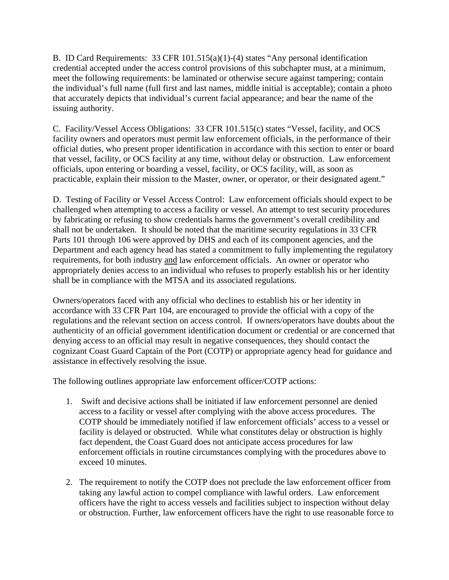B. ID Card Requirements: 33 CFR 101.515(a)(1)-(4) states "Any personal identification credential accepted under the access control provisions of this subchapter must, at a minimum, meet the following requirements: be laminated or otherwise secure against tampering; contain the individual's full name (full first and last names, middle initial is acceptable); contain a photo that accurately depicts that individual's current facial appearance; and bear the name of the issuing authority.

C. Facility/Vessel Access Obligations: 33 CFR 101.515(c) states "Vessel, facility, and OCS facility owners and operators must permit law enforcement officials, in the performance of their official duties, who present proper identification in accordance with this section to enter or board that vessel, facility, or OCS facility at any time, without delay or obstruction. Law enforcement officials, upon entering or boarding a vessel, facility, or OCS facility, will, as soon as practicable, explain their mission to the Master, owner, or operator, or their designated agent."

D. Testing of Facility or Vessel Access Control: Law enforcement officials should expect to be challenged when attempting to access a facility or vessel. An attempt to test security procedures by fabricating or refusing to show credentials harms the government's overall credibility and shall not be undertaken. It should be noted that the maritime security regulations in 33 CFR Parts 101 through 106 were approved by DHS and each of its component agencies, and the Department and each agency head has stated a commitment to fully implementing the regulatory requirements, for both industry and law enforcement officials. An owner or operator who appropriately denies access to an individual who refuses to properly establish his or her identity shall be in compliance with the MTSA and its associated regulations.

Owners/operators faced with any official who declines to establish his or her identity in accordance with 33 CFR Part 104, are encouraged to provide the official with a copy of the regulations and the relevant section on access control. If owners/operators have doubts about the authenticity of an official government identification document or credential or are concerned that denying access to an official may result in negative consequences, they should contact the cognizant Coast Guard Captain of the Port (COTP) or appropriate agency head for guidance and assistance in effectively resolving the issue.

The following outlines appropriate law enforcement officer/COTP actions:

- 1. Swift and decisive actions shall be initiated if law enforcement personnel are denied access to a facility or vessel after complying with the above access procedures. The COTP should be immediately notified if law enforcement officials' access to a vessel or facility is delayed or obstructed. While what constitutes delay or obstruction is highly fact dependent, the Coast Guard does not anticipate access procedures for law enforcement officials in routine circumstances complying with the procedures above to exceed 10 minutes.
- 2. The requirement to notify the COTP does not preclude the law enforcement officer from taking any lawful action to compel compliance with lawful orders. Law enforcement officers have the right to access vessels and facilities subject to inspection without delay or obstruction. Further, law enforcement officers have the right to use reasonable force to